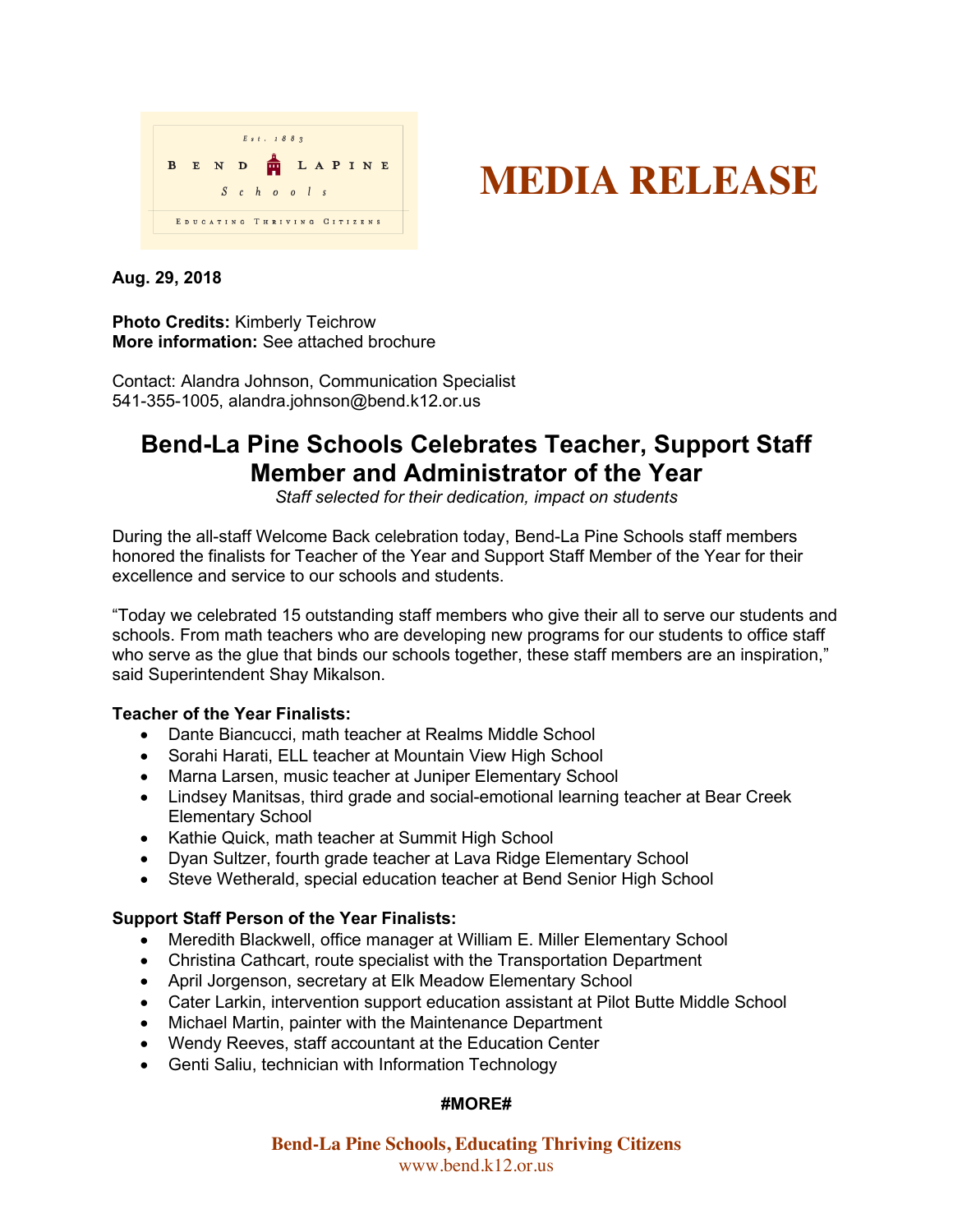



#### **Aug. 29, 2018**

## **Photo Credits:** Kimberly Teichrow **More information:** See attached brochure

Contact: Alandra Johnson, Communication Specialist 541-355-1005, alandra.johnson@bend.k12.or.us

# **Bend-La Pine Schools Celebrates Teacher, Support Staff Member and Administrator of the Year**

*Staff selected for their dedication, impact on students* 

During the all-staff Welcome Back celebration today, Bend-La Pine Schools staff members honored the finalists for Teacher of the Year and Support Staff Member of the Year for their excellence and service to our schools and students.

"Today we celebrated 15 outstanding staff members who give their all to serve our students and schools. From math teachers who are developing new programs for our students to office staff who serve as the glue that binds our schools together, these staff members are an inspiration," said Superintendent Shay Mikalson.

## **Teacher of the Year Finalists:**

- Dante Biancucci, math teacher at Realms Middle School
- Sorahi Harati, ELL teacher at Mountain View High School
- Marna Larsen, music teacher at Juniper Elementary School
- Lindsey Manitsas, third grade and social-emotional learning teacher at Bear Creek Elementary School
- Kathie Quick, math teacher at Summit High School
- Dyan Sultzer, fourth grade teacher at Lava Ridge Elementary School
- Steve Wetherald, special education teacher at Bend Senior High School

## **Support Staff Person of the Year Finalists:**

- Meredith Blackwell, office manager at William E. Miller Elementary School
- Christina Cathcart, route specialist with the Transportation Department
- April Jorgenson, secretary at Elk Meadow Elementary School
- Cater Larkin, intervention support education assistant at Pilot Butte Middle School
- Michael Martin, painter with the Maintenance Department
- Wendy Reeves, staff accountant at the Education Center
- Genti Saliu, technician with Information Technology

#### **#MORE#**

**Bend-La Pine Schools, Educating Thriving Citizens** www.bend.k12.or.us